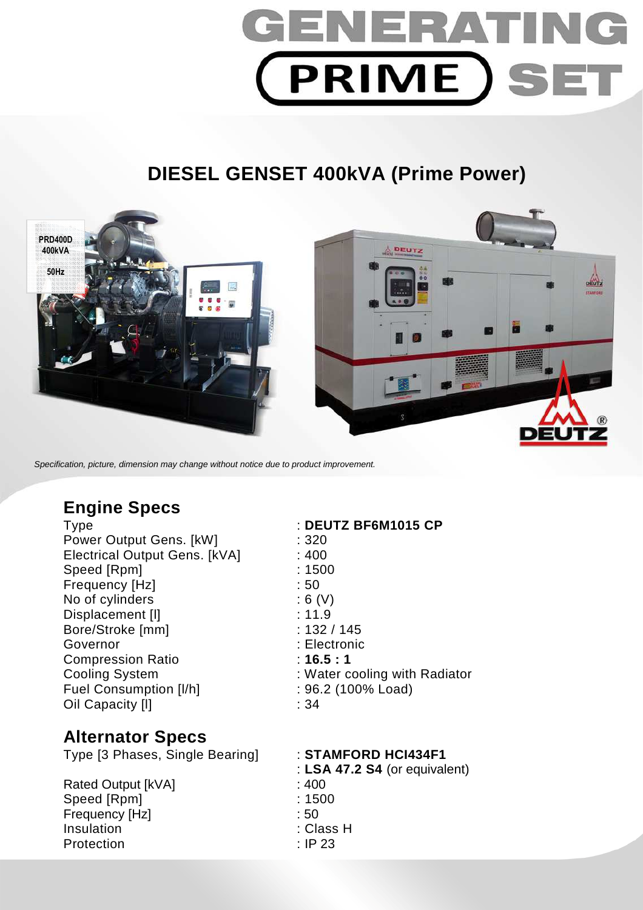# GENERATIN **PRIME SET**

# **DIESEL GENSET 400kVA (Prime Power)**



Specification, picture, dimension may change without notice due to product improvement.

## **Engine Specs**

Type : **DEUTZ BF6M1015 CP**  Power Output Gens. [kW] : 320 Electrical Output Gens. [kVA] : 400 Speed [Rpm] : 1500 Frequency [Hz]  $\qquad \qquad$  : 50 No of cylinders : 6 (V) Displacement [I] 3.11.9 Bore/Stroke [mm] : 132 / 145 Governor : Electronic Compression Ratio : **16.5 : 1**  Cooling System : Water cooling with Radiator Fuel Consumption [I/h] : 96.2 (100% Load) Oil Capacity [I] 34

- 
- 

### **Alternator Specs**

Type [3 Phases, Single Bearing] : **STAMFORD HCI434F1** 

Rated Output [kVA] : 400 Speed [Rpm] : 1500 Frequency [Hz] : 50 Insulation : Class H Protection : IP 23

: **LSA 47.2 S4** (or equivalent)